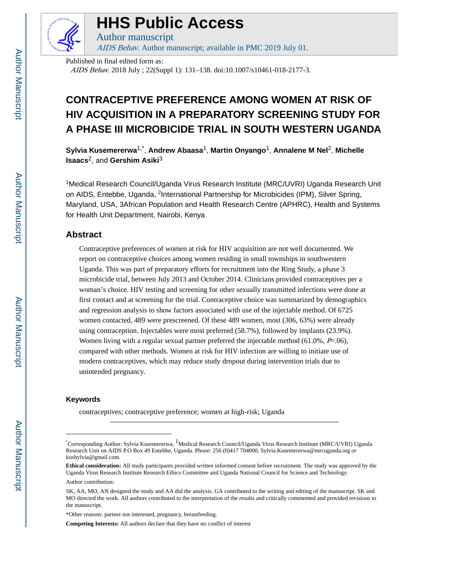

# **HHS Public Access**

Author manuscript AIDS Behav. Author manuscript; available in PMC 2019 July 01.

Published in final edited form as: AIDS Behav. 2018 July ; 22(Suppl 1): 131–138. doi:10.1007/s10461-018-2177-3.

## **CONTRACEPTIVE PREFERENCE AMONG WOMEN AT RISK OF HIV ACQUISITION IN A PREPARATORY SCREENING STUDY FOR A PHASE III MICROBICIDE TRIAL IN SOUTH WESTERN UGANDA**

**Sylvia Kusemererwa**1,\* , **Andrew Abaasa**1, **Martin Onyango**1, **Annalene M Nel**2, **Michelle Isaacs**2, and **Gershim Asiki**<sup>3</sup>

<sup>1</sup>Medical Research Council/Uganda Virus Research Institute (MRC/UVRI) Uganda Research Unit on AIDS, Entebbe, Uganda, <sup>2</sup>International Partnership for Microbicides (IPM), Silver Spring, Maryland, USA, 3African Population and Health Research Centre (APHRC), Health and Systems for Health Unit Department, Nairobi, Kenya

## **Abstract**

Contraceptive preferences of women at risk for HIV acquisition are not well documented. We report on contraceptive choices among women residing in small townships in southwestern Uganda. This was part of preparatory efforts for recruitment into the Ring Study, a phase 3 microbicide trial, between July 2013 and October 2014. Clinicians provided contraceptives per a woman's choice. HIV testing and screening for other sexually transmitted infections were done at first contact and at screening for the trial. Contraceptive choice was summarized by demographics and regression analysis to show factors associated with use of the injectable method. Of 6725 women contacted, 489 were prescreened. Of these 489 women, most (306, 63%) were already using contraception. Injectables were most preferred (58.7%), followed by implants (23.9%). Women living with a regular sexual partner preferred the injectable method  $(61.0\%, P=.06)$ , compared with other methods. Women at risk for HIV infection are willing to initiate use of modern contraceptives, which may reduce study dropout during intervention trials due to unintended pregnancy.

#### **Keywords**

contraceptives; contraceptive preference; women at high-risk; Uganda

<sup>\*</sup>Corresponding Author: Sylvia Kusemererwa, 1Medical Research Council/Uganda Virus Research Institute (MRC/UVRI) Uganda Research Unit on AIDS P.O Box 49 Entebbe, Uganda. Phone: 256 (0)417 704000, Sylvia.Kusemererwa@mrcuganda.org or kushylvia@gmail.com.

**Ethical consideration:** All study participants provided written informed consent before recruitment. The study was approved by the Uganda Virus Research Institute Research Ethics Committee and Uganda National Council for Science and Technology.

Author contribution:

SK, AA, MO, AN designed the study and AA did the analysis. GA contributed to the writing and editing of the manuscript. SK and MO directed the work. All authors contributed to the interpretation of the results and critically commented and provided revisions to the manuscript.

<sup>\*</sup>Other reasons: partner not interested, pregnancy, breastfeeding.

**Competing Interests:** All authors declare that they have no conflict of interest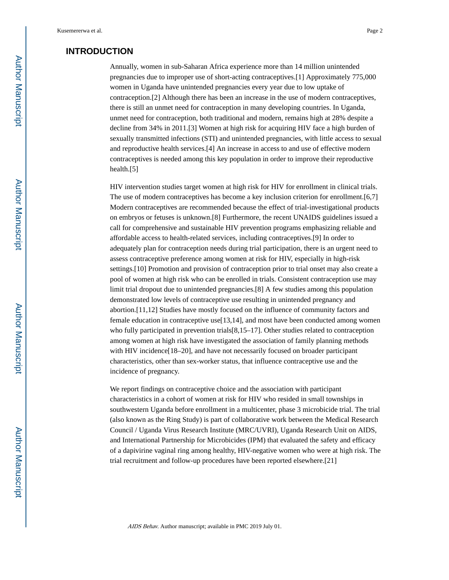## **INTRODUCTION**

Annually, women in sub-Saharan Africa experience more than 14 million unintended pregnancies due to improper use of short-acting contraceptives.[1] Approximately 775,000 women in Uganda have unintended pregnancies every year due to low uptake of contraception.[2] Although there has been an increase in the use of modern contraceptives, there is still an unmet need for contraception in many developing countries. In Uganda, unmet need for contraception, both traditional and modern, remains high at 28% despite a decline from 34% in 2011.[3] Women at high risk for acquiring HIV face a high burden of sexually transmitted infections (STI) and unintended pregnancies, with little access to sexual and reproductive health services.[4] An increase in access to and use of effective modern contraceptives is needed among this key population in order to improve their reproductive health.[5]

HIV intervention studies target women at high risk for HIV for enrollment in clinical trials. The use of modern contraceptives has become a key inclusion criterion for enrollment.[6,7] Modern contraceptives are recommended because the effect of trial-investigational products on embryos or fetuses is unknown.[8] Furthermore, the recent UNAIDS guidelines issued a call for comprehensive and sustainable HIV prevention programs emphasizing reliable and affordable access to health-related services, including contraceptives.[9] In order to adequately plan for contraception needs during trial participation, there is an urgent need to assess contraceptive preference among women at risk for HIV, especially in high-risk settings.[10] Promotion and provision of contraception prior to trial onset may also create a pool of women at high risk who can be enrolled in trials. Consistent contraception use may limit trial dropout due to unintended pregnancies.[8] A few studies among this population demonstrated low levels of contraceptive use resulting in unintended pregnancy and abortion.[11,12] Studies have mostly focused on the influence of community factors and female education in contraceptive use[13,14], and most have been conducted among women who fully participated in prevention trials[8,15–17]. Other studies related to contraception among women at high risk have investigated the association of family planning methods with HIV incidence<sup>[18–20]</sup>, and have not necessarily focused on broader participant characteristics, other than sex-worker status, that influence contraceptive use and the incidence of pregnancy.

We report findings on contraceptive choice and the association with participant characteristics in a cohort of women at risk for HIV who resided in small townships in southwestern Uganda before enrollment in a multicenter, phase 3 microbicide trial. The trial (also known as the Ring Study) is part of collaborative work between the Medical Research Council / Uganda Virus Research Institute (MRC/UVRI), Uganda Research Unit on AIDS, and International Partnership for Microbicides (IPM) that evaluated the safety and efficacy of a dapivirine vaginal ring among healthy, HIV-negative women who were at high risk. The trial recruitment and follow-up procedures have been reported elsewhere.[21]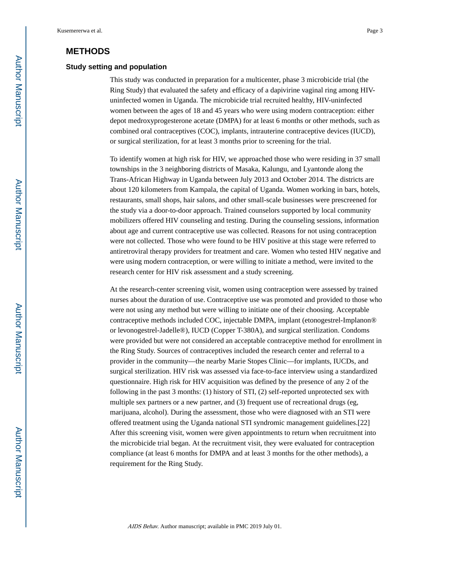## **METHODS**

#### **Study setting and population**

This study was conducted in preparation for a multicenter, phase 3 microbicide trial (the Ring Study) that evaluated the safety and efficacy of a dapivirine vaginal ring among HIVuninfected women in Uganda. The microbicide trial recruited healthy, HIV-uninfected women between the ages of 18 and 45 years who were using modern contraception: either depot medroxyprogesterone acetate (DMPA) for at least 6 months or other methods, such as combined oral contraceptives (COC), implants, intrauterine contraceptive devices (IUCD), or surgical sterilization, for at least 3 months prior to screening for the trial.

To identify women at high risk for HIV, we approached those who were residing in 37 small townships in the 3 neighboring districts of Masaka, Kalungu, and Lyantonde along the Trans-African Highway in Uganda between July 2013 and October 2014. The districts are about 120 kilometers from Kampala, the capital of Uganda. Women working in bars, hotels, restaurants, small shops, hair salons, and other small-scale businesses were prescreened for the study via a door-to-door approach. Trained counselors supported by local community mobilizers offered HIV counseling and testing. During the counseling sessions, information about age and current contraceptive use was collected. Reasons for not using contraception were not collected. Those who were found to be HIV positive at this stage were referred to antiretroviral therapy providers for treatment and care. Women who tested HIV negative and were using modern contraception, or were willing to initiate a method, were invited to the research center for HIV risk assessment and a study screening.

At the research-center screening visit, women using contraception were assessed by trained nurses about the duration of use. Contraceptive use was promoted and provided to those who were not using any method but were willing to initiate one of their choosing. Acceptable contraceptive methods included COC, injectable DMPA, implant (etonogestrel-Implanon® or levonogestrel-Jadelle®), IUCD (Copper T-380A), and surgical sterilization. Condoms were provided but were not considered an acceptable contraceptive method for enrollment in the Ring Study. Sources of contraceptives included the research center and referral to a provider in the community—the nearby Marie Stopes Clinic—for implants, IUCDs, and surgical sterilization. HIV risk was assessed via face-to-face interview using a standardized questionnaire. High risk for HIV acquisition was defined by the presence of any 2 of the following in the past 3 months: (1) history of STI, (2) self-reported unprotected sex with multiple sex partners or a new partner, and (3) frequent use of recreational drugs (eg, marijuana, alcohol). During the assessment, those who were diagnosed with an STI were offered treatment using the Uganda national STI syndromic management guidelines.[22] After this screening visit, women were given appointments to return when recruitment into the microbicide trial began. At the recruitment visit, they were evaluated for contraception compliance (at least 6 months for DMPA and at least 3 months for the other methods), a requirement for the Ring Study.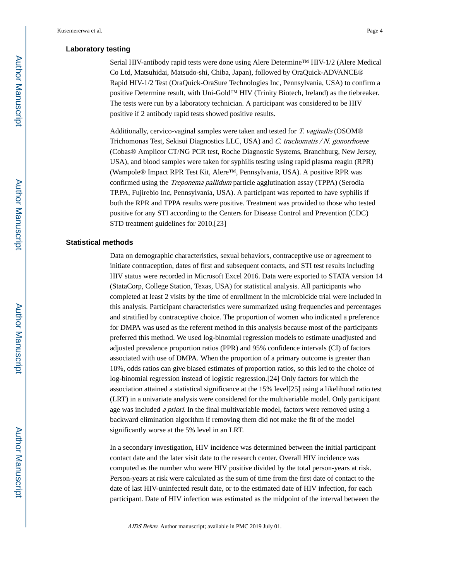#### **Laboratory testing**

Serial HIV-antibody rapid tests were done using Alere Determine™ HIV-1/2 (Alere Medical Co Ltd, Matsuhidai, Matsudo-shi, Chiba, Japan), followed by OraQuick-ADVANCE® Rapid HIV-1/2 Test (OraQuick-OraSure Technologies Inc, Pennsylvania, USA) to confirm a positive Determine result, with Uni-Gold™ HIV (Trinity Biotech, Ireland) as the tiebreaker. The tests were run by a laboratory technician. A participant was considered to be HIV positive if 2 antibody rapid tests showed positive results.

Additionally, cervico-vaginal samples were taken and tested for T. vaginalis (OSOM® Trichomonas Test, Sekisui Diagnostics LLC, USA) and C. trachomatis / N. gonorrhoeae (Cobas® Amplicor CT/NG PCR test, Roche Diagnostic Systems, Branchburg, New Jersey, USA), and blood samples were taken for syphilis testing using rapid plasma reagin (RPR) (Wampole® Impact RPR Test Kit, Alere™, Pennsylvania, USA). A positive RPR was confirmed using the Treponema pallidum particle agglutination assay (TPPA) (Serodia TP.PA, Fujirebio Inc, Pennsylvania, USA). A participant was reported to have syphilis if both the RPR and TPPA results were positive. Treatment was provided to those who tested positive for any STI according to the Centers for Disease Control and Prevention (CDC) STD treatment guidelines for 2010.[23]

#### **Statistical methods**

Data on demographic characteristics, sexual behaviors, contraceptive use or agreement to initiate contraception, dates of first and subsequent contacts, and STI test results including HIV status were recorded in Microsoft Excel 2016. Data were exported to STATA version 14 (StataCorp, College Station, Texas, USA) for statistical analysis. All participants who completed at least 2 visits by the time of enrollment in the microbicide trial were included in this analysis. Participant characteristics were summarized using frequencies and percentages and stratified by contraceptive choice. The proportion of women who indicated a preference for DMPA was used as the referent method in this analysis because most of the participants preferred this method. We used log-binomial regression models to estimate unadjusted and adjusted prevalence proportion ratios (PPR) and 95% confidence intervals (CI) of factors associated with use of DMPA. When the proportion of a primary outcome is greater than 10%, odds ratios can give biased estimates of proportion ratios, so this led to the choice of log-binomial regression instead of logistic regression.[24] Only factors for which the association attained a statistical significance at the 15% level[25] using a likelihood ratio test (LRT) in a univariate analysis were considered for the multivariable model. Only participant age was included *a priori*. In the final multivariable model, factors were removed using a backward elimination algorithm if removing them did not make the fit of the model significantly worse at the 5% level in an LRT.

In a secondary investigation, HIV incidence was determined between the initial participant contact date and the later visit date to the research center. Overall HIV incidence was computed as the number who were HIV positive divided by the total person-years at risk. Person-years at risk were calculated as the sum of time from the first date of contact to the date of last HIV-uninfected result date, or to the estimated date of HIV infection, for each participant. Date of HIV infection was estimated as the midpoint of the interval between the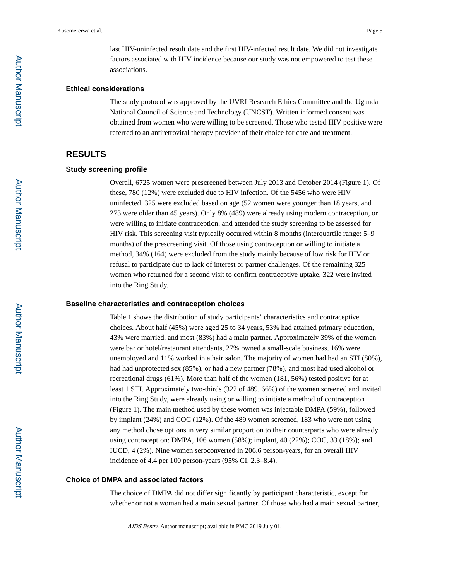last HIV-uninfected result date and the first HIV-infected result date. We did not investigate factors associated with HIV incidence because our study was not empowered to test these associations.

#### **Ethical considerations**

The study protocol was approved by the UVRI Research Ethics Committee and the Uganda National Council of Science and Technology (UNCST). Written informed consent was obtained from women who were willing to be screened. Those who tested HIV positive were referred to an antiretroviral therapy provider of their choice for care and treatment.

## **RESULTS**

#### **Study screening profile**

Overall, 6725 women were prescreened between July 2013 and October 2014 (Figure 1). Of these, 780 (12%) were excluded due to HIV infection. Of the 5456 who were HIV uninfected, 325 were excluded based on age (52 women were younger than 18 years, and 273 were older than 45 years). Only 8% (489) were already using modern contraception, or were willing to initiate contraception, and attended the study screening to be assessed for HIV risk. This screening visit typically occurred within 8 months (interquartile range: 5–9 months) of the prescreening visit. Of those using contraception or willing to initiate a method, 34% (164) were excluded from the study mainly because of low risk for HIV or refusal to participate due to lack of interest or partner challenges. Of the remaining 325 women who returned for a second visit to confirm contraceptive uptake, 322 were invited into the Ring Study.

#### **Baseline characteristics and contraception choices**

Table 1 shows the distribution of study participants' characteristics and contraceptive choices. About half (45%) were aged 25 to 34 years, 53% had attained primary education, 43% were married, and most (83%) had a main partner. Approximately 39% of the women were bar or hotel/restaurant attendants, 27% owned a small-scale business, 16% were unemployed and 11% worked in a hair salon. The majority of women had had an STI (80%), had had unprotected sex (85%), or had a new partner (78%), and most had used alcohol or recreational drugs (61%). More than half of the women (181, 56%) tested positive for at least 1 STI. Approximately two-thirds (322 of 489, 66%) of the women screened and invited into the Ring Study, were already using or willing to initiate a method of contraception (Figure 1). The main method used by these women was injectable DMPA (59%), followed by implant (24%) and COC (12%). Of the 489 women screened, 183 who were not using any method chose options in very similar proportion to their counterparts who were already using contraception: DMPA, 106 women (58%); implant, 40 (22%); COC, 33 (18%); and IUCD, 4 (2%). Nine women seroconverted in 206.6 person-years, for an overall HIV incidence of 4.4 per 100 person-years (95% CI, 2.3–8.4).

#### **Choice of DMPA and associated factors**

The choice of DMPA did not differ significantly by participant characteristic, except for whether or not a woman had a main sexual partner. Of those who had a main sexual partner,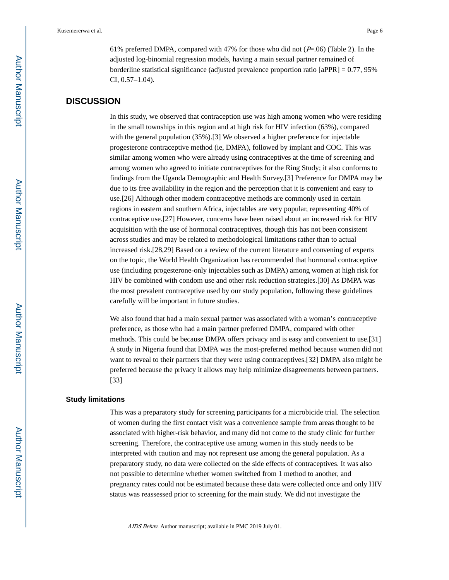61% preferred DMPA, compared with 47% for those who did not  $(P=0.06)$  (Table 2). In the adjusted log-binomial regression models, having a main sexual partner remained of borderline statistical significance (adjusted prevalence proportion ratio  $[aPPR] = 0.77, 95\%$ CI, 0.57–1.04).

## **DISCUSSION**

In this study, we observed that contraception use was high among women who were residing in the small townships in this region and at high risk for HIV infection (63%), compared with the general population (35%).[3] We observed a higher preference for injectable progesterone contraceptive method (ie, DMPA), followed by implant and COC. This was similar among women who were already using contraceptives at the time of screening and among women who agreed to initiate contraceptives for the Ring Study; it also conforms to findings from the Uganda Demographic and Health Survey.[3] Preference for DMPA may be due to its free availability in the region and the perception that it is convenient and easy to use.[26] Although other modern contraceptive methods are commonly used in certain regions in eastern and southern Africa, injectables are very popular, representing 40% of contraceptive use.[27] However, concerns have been raised about an increased risk for HIV acquisition with the use of hormonal contraceptives, though this has not been consistent across studies and may be related to methodological limitations rather than to actual increased risk.[28,29] Based on a review of the current literature and convening of experts on the topic, the World Health Organization has recommended that hormonal contraceptive use (including progesterone-only injectables such as DMPA) among women at high risk for HIV be combined with condom use and other risk reduction strategies.[30] As DMPA was the most prevalent contraceptive used by our study population, following these guidelines carefully will be important in future studies.

We also found that had a main sexual partner was associated with a woman's contraceptive preference, as those who had a main partner preferred DMPA, compared with other methods. This could be because DMPA offers privacy and is easy and convenient to use.[31] A study in Nigeria found that DMPA was the most-preferred method because women did not want to reveal to their partners that they were using contraceptives.[32] DMPA also might be preferred because the privacy it allows may help minimize disagreements between partners. [33]

#### **Study limitations**

This was a preparatory study for screening participants for a microbicide trial. The selection of women during the first contact visit was a convenience sample from areas thought to be associated with higher-risk behavior, and many did not come to the study clinic for further screening. Therefore, the contraceptive use among women in this study needs to be interpreted with caution and may not represent use among the general population. As a preparatory study, no data were collected on the side effects of contraceptives. It was also not possible to determine whether women switched from 1 method to another, and pregnancy rates could not be estimated because these data were collected once and only HIV status was reassessed prior to screening for the main study. We did not investigate the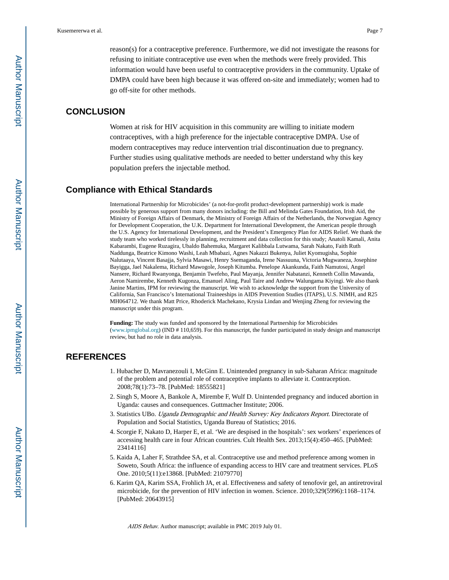reason(s) for a contraceptive preference. Furthermore, we did not investigate the reasons for refusing to initiate contraceptive use even when the methods were freely provided. This information would have been useful to contraceptive providers in the community. Uptake of DMPA could have been high because it was offered on-site and immediately; women had to go off-site for other methods.

## **CONCLUSION**

Women at risk for HIV acquisition in this community are willing to initiate modern contraceptives, with a high preference for the injectable contraceptive DMPA. Use of modern contraceptives may reduce intervention trial discontinuation due to pregnancy. Further studies using qualitative methods are needed to better understand why this key population prefers the injectable method.

## **Compliance with Ethical Standards**

International Partnership for Microbicides' (a not-for-profit product-development partnership) work is made possible by generous support from many donors including: the Bill and Melinda Gates Foundation, Irish Aid, the Ministry of Foreign Affairs of Denmark, the Ministry of Foreign Affairs of the Netherlands, the Norwegian Agency for Development Cooperation, the U.K. Department for International Development, the American people through the U.S. Agency for International Development, and the President's Emergency Plan for AIDS Relief. We thank the study team who worked tirelessly in planning, recruitment and data collection for this study; Anatoli Kamali, Anita Kabarambi, Eugene Ruzagira, Ubaldo Bahemuka, Margaret Kalibbala Lutwama, Sarah Nakato, Faith Ruth Naddunga, Beatrice Kimono Washi, Leah Mbabazi, Agnes Nakazzi Bukenya, Juliet Kyomugisha, Sophie Nalutaaya, Vincent Basajja, Sylvia Masawi, Henry Ssemaganda, Irene Nassuuna, Victoria Mugwaneza, Josephine Bayigga, Jael Nakalema, Richard Mawogole, Joseph Kitumba. Penelope Akankunda, Faith Namutosi, Angel Nansere, Richard Rwanyonga, Benjamin Twefeho, Paul Mayanja, Jennifer Nabatanzi, Kenneth Collin Mawanda, Aeron Namirembe, Kenneth Kugonza, Emanuel Aling, Paul Taire and Andrew Walungama Kiyingi. We also thank Janine Martins, IPM for reviewing the manuscript. We wish to acknowledge the support from the University of California, San Francisco's International Traineeships in AIDS Prevention Studies (ITAPS), U.S. NIMH, and R25 MH064712. We thank Matt Price, Rhoderick Machekano, Krysia Lindan and Wenjing Zheng for reviewing the manuscript under this program.

**Funding:** The study was funded and sponsored by the International Partnership for Microbicides ([www.ipmglobal.org](http://www.ipmglobal.org/)) (IND # 110,659). For this manuscript, the funder participated in study design and manuscript review, but had no role in data analysis.

## **REFERENCES**

- 1. Hubacher D, Mavranezouli I, McGinn E. Unintended pregnancy in sub-Saharan Africa: magnitude of the problem and potential role of contraceptive implants to alleviate it. Contraception. 2008;78(1):73–78. [PubMed: 18555821]
- 2. Singh S, Moore A, Bankole A, Mirembe F, Wulf D. Unintended pregnancy and induced abortion in Uganda: causes and consequences. Guttmacher Institute; 2006.
- 3. Statistics UBo. Uganda Demographic and Health Survey: Key Indicators Report. Directorate of Population and Social Statistics, Uganda Bureau of Statistics; 2016.
- 4. Scorgie F, Nakato D, Harper E, et al. 'We are despised in the hospitals': sex workers' experiences of accessing health care in four African countries. Cult Health Sex. 2013;15(4):450–465. [PubMed: 23414116]
- 5. Kaida A, Laher F, Strathdee SA, et al. Contraceptive use and method preference among women in Soweto, South Africa: the influence of expanding access to HIV care and treatment services. PLoS One. 2010;5(11):e13868. [PubMed: 21079770]
- 6. Karim QA, Karim SSA, Frohlich JA, et al. Effectiveness and safety of tenofovir gel, an antiretroviral microbicide, for the prevention of HIV infection in women. Science. 2010;329(5996):1168–1174. [PubMed: 20643915]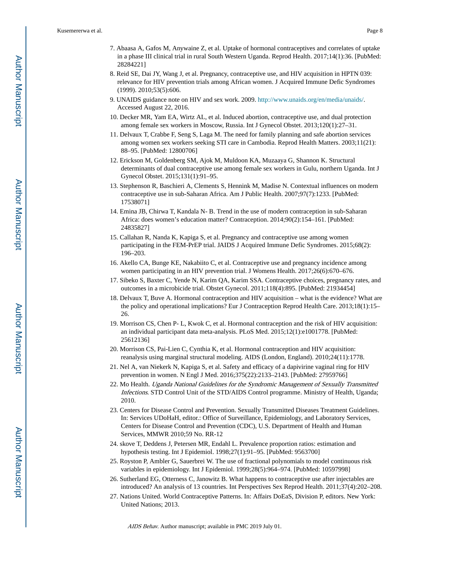- 7. Abaasa A, Gafos M, Anywaine Z, et al. Uptake of hormonal contraceptives and correlates of uptake in a phase III clinical trial in rural South Western Uganda. Reprod Health. 2017;14(1):36. [PubMed: 28284221]
- 8. Reid SE, Dai JY, Wang J, et al. Pregnancy, contraceptive use, and HIV acquisition in HPTN 039: relevance for HIV prevention trials among African women. J Acquired Immune Defic Syndromes (1999). 2010;53(5):606.
- 9. UNAIDS guidance note on HIV and sex work. 2009. [http://www.unaids.org/en/media/unaids/.](http://www.unaids.org/en/media/unaids/) Accessed August 22, 2016.
- 10. Decker MR, Yam EA, Wirtz AL, et al. Induced abortion, contraceptive use, and dual protection among female sex workers in Moscow, Russia. Int J Gynecol Obstet. 2013;120(1):27–31.
- 11. Delvaux T, Crabbe F, Seng S, Laga M. The need for family planning and safe abortion services among women sex workers seeking STI care in Cambodia. Reprod Health Matters. 2003;11(21): 88–95. [PubMed: 12800706]
- 12. Erickson M, Goldenberg SM, Ajok M, Muldoon KA, Muzaaya G, Shannon K. Structural determinants of dual contraceptive use among female sex workers in Gulu, northern Uganda. Int J Gynecol Obstet. 2015;131(1):91–95.
- 13. Stephenson R, Baschieri A, Clements S, Hennink M, Madise N. Contextual influences on modern contraceptive use in sub-Saharan Africa. Am J Public Health. 2007;97(7):1233. [PubMed: 17538071]
- 14. Emina JB, Chirwa T, Kandala N- B. Trend in the use of modern contraception in sub-Saharan Africa: does women's education matter? Contraception. 2014;90(2):154–161. [PubMed: 24835827]
- 15. Callahan R, Nanda K, Kapiga S, et al. Pregnancy and contraceptive use among women participating in the FEM-PrEP trial. JAIDS J Acquired Immune Defic Syndromes. 2015;68(2): 196–203.
- 16. Akello CA, Bunge KE, Nakabiito C, et al. Contraceptive use and pregnancy incidence among women participating in an HIV prevention trial. J Womens Health. 2017;26(6):670–676.
- 17. Sibeko S, Baxter C, Yende N, Karim QA, Karim SSA. Contraceptive choices, pregnancy rates, and outcomes in a microbicide trial. Obstet Gynecol. 2011;118(4):895. [PubMed: 21934454]
- 18. Delvaux T, Buve A. Hormonal contraception and HIV acquisition what is the evidence? What are the policy and operational implications? Eur J Contraception Reprod Health Care. 2013;18(1):15– 26.
- 19. Morrison CS, Chen P- L, Kwok C, et al. Hormonal contraception and the risk of HIV acquisition: an individual participant data meta-analysis. PLoS Med. 2015;12(1):e1001778. [PubMed: 25612136]
- 20. Morrison CS, Pai-Lien C, Cynthia K, et al. Hormonal contraception and HIV acquisition: reanalysis using marginal structural modeling. AIDS (London, England). 2010;24(11):1778.
- 21. Nel A, van Niekerk N, Kapiga S, et al. Safety and efficacy of a dapivirine vaginal ring for HIV prevention in women. N Engl J Med. 2016;375(22):2133–2143. [PubMed: 27959766]
- 22. Mo Health. Uganda National Guidelines for the Syndromic Management of Sexually Transmitted Infections. STD Control Unit of the STD/AIDS Control programme. Ministry of Health, Uganda; 2010.
- 23. Centers for Disease Control and Prevention. Sexually Transmitted Diseases Treatment Guidelines. In: Services UDoHaH, editor.: Office of Surveillance, Epidemiology, and Laboratory Services, Centers for Disease Control and Prevention (CDC), U.S. Department of Health and Human Services, MMWR 2010;59 No. RR-12
- 24. skove T, Deddens J, Petersen MR, Endahl L. Prevalence proportion ratios: estimation and hypothesis testing. Int J Epidemiol. 1998;27(1):91–95. [PubMed: 9563700]
- 25. Royston P, Ambler G, Sauerbrei W. The use of fractional polynomials to model continuous risk variables in epidemiology. Int J Epidemiol. 1999;28(5):964–974. [PubMed: 10597998]
- 26. Sutherland EG, Otterness C, Janowitz B. What happens to contraceptive use after injectables are introduced? An analysis of 13 countries. Int Perspectives Sex Reprod Health. 2011;37(4):202–208.
- 27. Nations United. World Contraceptive Patterns. In: Affairs DoEaS, Division P, editors. New York: United Nations; 2013.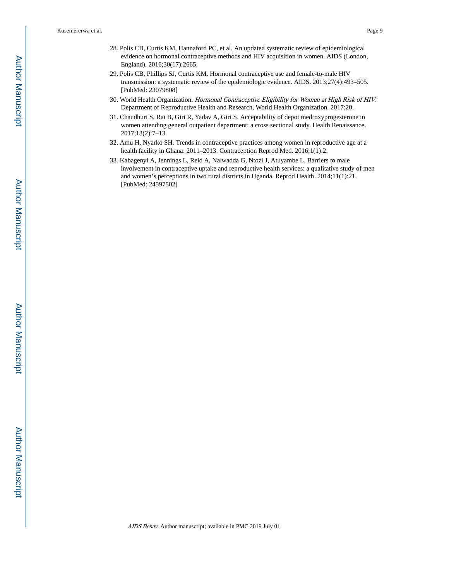- 28. Polis CB, Curtis KM, Hannaford PC, et al. An updated systematic review of epidemiological evidence on hormonal contraceptive methods and HIV acquisition in women. AIDS (London, England). 2016;30(17):2665.
- 29. Polis CB, Phillips SJ, Curtis KM. Hormonal contraceptive use and female-to-male HIV transmission: a systematic review of the epidemiologic evidence. AIDS. 2013;27(4):493–505. [PubMed: 23079808]
- 30. World Health Organization. Hormonal Contraceptive Eligibility for Women at High Risk of HIV. Department of Reproductive Health and Research, World Health Organization. 2017:20.
- 31. Chaudhuri S, Rai B, Giri R, Yadav A, Giri S. Acceptability of depot medroxyprogesterone in women attending general outpatient department: a cross sectional study. Health Renaissance. 2017;13(2):7–13.
- 32. Amu H, Nyarko SH. Trends in contraceptive practices among women in reproductive age at a health facility in Ghana: 2011-2013. Contraception Reprod Med. 2016;1(1):2.
- 33. Kabagenyi A, Jennings L, Reid A, Nalwadda G, Ntozi J, Atuyambe L. Barriers to male involvement in contraceptive uptake and reproductive health services: a qualitative study of men and women's perceptions in two rural districts in Uganda. Reprod Health. 2014;11(1):21. [PubMed: 24597502]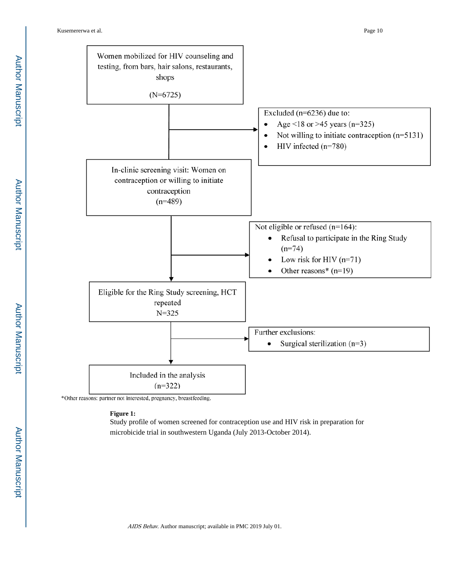Kusemererwa et al. Page 10



\*Other reasons: partner not interested, pregnancy, breastfeeding.

**Figure 1:** 

Study profile of women screened for contraception use and HIV risk in preparation for microbicide trial in southwestern Uganda (July 2013-October 2014).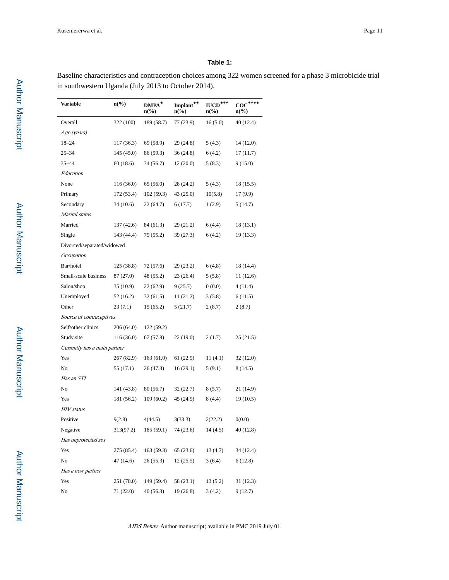#### **Table 1:**

Baseline characteristics and contraception choices among 322 women screened for a phase 3 microbicide trial in southwestern Uganda (July 2013 to October 2014).

| Variable                     | $n\llap/0$ | $\mathbf{DMPA}^*$<br>$n\left(\%\right)$ | $\mbox{Implant}^{**}$<br>$n\left(\%\right)$ | $IUCD***$<br>$n\left(\%\right)$ | $\operatorname{coc}^{****}$<br>$n\llap/0$ |
|------------------------------|------------|-----------------------------------------|---------------------------------------------|---------------------------------|-------------------------------------------|
| Overall                      | 322 (100)  | 189 (58.7)                              | 77 (23.9)                                   | 16(5.0)                         | 40 (12.4)                                 |
| Age (years)                  |            |                                         |                                             |                                 |                                           |
| $18 - 24$                    | 117 (36.3) | 69 (58.9)                               | 29 (24.8)                                   | 5(4.3)                          | 14 (12.0)                                 |
| $25 - 34$                    | 145 (45.0) | 86 (59.3)                               | 36 (24.8)                                   | 6(4.2)                          | 17(11.7)                                  |
| 35-44                        | 60(18.6)   | 34 (56.7)                               | 12(20.0)                                    | 5(8.3)                          | 9(15.0)                                   |
| Education                    |            |                                         |                                             |                                 |                                           |
| None                         | 116(36.0)  | 65 (56.0)                               | 28 (24.2)                                   | 5(4.3)                          | 18 (15.5)                                 |
| Primary                      | 172 (53.4) | 102(59.3)                               | 43 (25.0)                                   | 10(5.8)                         | 17(9.9)                                   |
| Secondary                    | 34(10.6)   | 22(64.7)                                | 6(17.7)                                     | 1(2.9)                          | 5 (14.7)                                  |
| Marital status               |            |                                         |                                             |                                 |                                           |
| Married                      | 137 (42.6) | 84 (61.3)                               | 29(21.2)                                    | 6(4.4)                          | 18 (13.1)                                 |
| Single                       | 143 (44.4) | 79 (55.2)                               | 39 (27.3)                                   | 6 (4.2)                         | 19(13.3)                                  |
| Divorced/separated/widowed   |            |                                         |                                             |                                 |                                           |
| Occupation                   |            |                                         |                                             |                                 |                                           |
| Bar/hotel                    | 125(38.8)  | 72 (57.6)                               | 29 (23.2)                                   | 6(4.8)                          | 18 (14.4)                                 |
| Small-scale business         | 87 (27.0)  | 48 (55.2)                               | 23(26.4)                                    | 5(5.8)                          | 11(12.6)                                  |
| Salon/shop                   | 35(10.9)   | 22(62.9)                                | 9(25.7)                                     | 0(0.0)                          | 4(11.4)                                   |
| Unemployed                   | 52 (16.2)  | 32(61.5)                                | 11(21.2)                                    | 3(5.8)                          | 6(11.5)                                   |
| Other                        | 23(7.1)    | 15(65.2)                                | 5(21.7)                                     | 2(8.7)                          | 2(8.7)                                    |
| Source of contraceptives     |            |                                         |                                             |                                 |                                           |
| Self/other clinics           | 206 (64.0) | 122 (59.2)                              |                                             |                                 |                                           |
| Study site                   | 116 (36.0) | 67 (57.8)                               | 22 (19.0)                                   | 2(1.7)                          | 25 (21.5)                                 |
| Currently has a main partner |            |                                         |                                             |                                 |                                           |
| Yes                          | 267 (82.9) | 163(61.0)                               | 61(22.9)                                    | 11(4.1)                         | 32 (12.0)                                 |
| No                           | 55 (17.1)  | 26 (47.3)                               | 16(29.1)                                    | 5(9.1)                          | 8 (14.5)                                  |
| Has an STI                   |            |                                         |                                             |                                 |                                           |
| No                           | 141 (43.8) | 80 (56.7)                               | 32 (22.7)                                   | 8(5.7)                          | 21 (14.9)                                 |
| Yes                          | 181 (56.2) | 109(60.2)                               | 45 (24.9)                                   | 8(4.4)                          | 19(10.5)                                  |
| <b>HIV</b> status            |            |                                         |                                             |                                 |                                           |
| Positive                     | 9(2.8)     | 4(44.5)                                 | 3(33.3)                                     | 2(22.2)                         | 0(0.0)                                    |
| Negative                     | 313(97.2)  | 185 (59.1)                              | 74 (23.6)                                   | 14 (4.5)                        | 40 (12.8)                                 |
| Has unprotected sex          |            |                                         |                                             |                                 |                                           |
| Yes                          | 275 (85.4) | 163(59.3)                               | 65 (23.6)                                   | 13 (4.7)                        | 34 (12.4)                                 |
| No                           | 47 (14.6)  | 26(55.3)                                | 12(25.5)                                    | 3(6.4)                          | 6(12.8)                                   |
| Has a new partner            |            |                                         |                                             |                                 |                                           |
| Yes                          | 251 (78.0) | 149 (59.4)                              | 58 (23.1)                                   | 13 (5.2)                        | 31 (12.3)                                 |
| No                           | 71 (22.0)  | 40 (56.3)                               | 19(26.8)                                    | 3(4.2)                          | 9(12.7)                                   |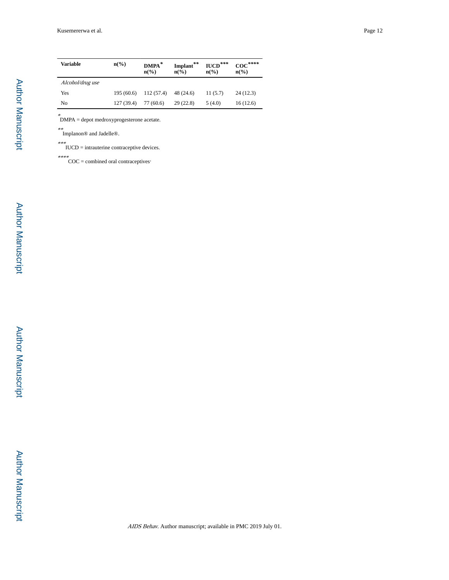| <b>Variable</b>  | $n\binom{0}{0}$ | DMPA <sup>*</sup><br>$n\left(\frac{0}{0}\right)$ | Implant**<br>$\mathbf{n}(\%)$ | $IUCD***$<br>$n\binom{0}{0}$ | $\operatorname{coc}^{***}$<br>$n\binom{0}{0}$ |
|------------------|-----------------|--------------------------------------------------|-------------------------------|------------------------------|-----------------------------------------------|
| Alcohol/drug use |                 |                                                  |                               |                              |                                               |
| Yes              | 195(60.6)       | 112(57.4)                                        | 48 (24.6)                     | 11(5.7)                      | 24(12.3)                                      |
| No               | 127 (39.4)      | 77 (60.6)                                        | 29(22.8)                      | 5(4.0)                       | 16(12.6)                                      |

\* DMPA = depot medroxyprogesterone acetate.

\*\* Implanon® and Jadelle®.

\*\*\* IUCD = intrauterine contraceptive devices.

\*\*\*\* COC = combined oral contraceptives.

Author Manuscript

Author Manuscript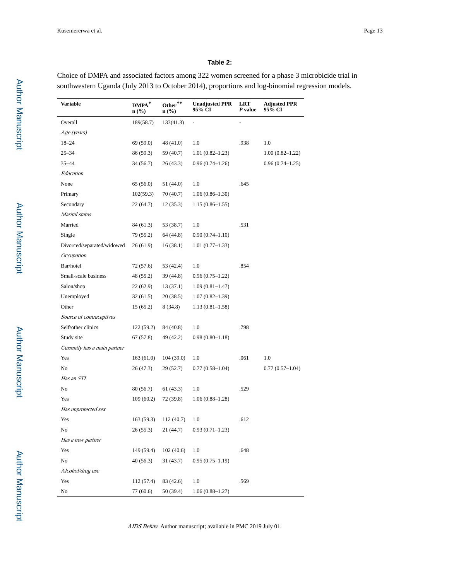## **Table 2:**

Choice of DMPA and associated factors among 322 women screened for a phase 3 microbicide trial in southwestern Uganda (July 2013 to October 2014), proportions and log-binomial regression models.

| Variable                     | $\mathbf{DMPA}^*$<br>$n$ (%) | Other**<br>$\mathbf{n}(\%)$ | <b>Unadjusted PPR</b><br>95% CI | <b>LRT</b><br>P value | <b>Adjusted PPR</b><br>95% CI |
|------------------------------|------------------------------|-----------------------------|---------------------------------|-----------------------|-------------------------------|
| Overall                      | 189(58.7)                    | 133(41.3)                   | $\frac{1}{2}$                   | $\overline{a}$        |                               |
| Age (years)                  |                              |                             |                                 |                       |                               |
| $18 - 24$                    | 69 (59.0)                    | 48 (41.0)                   | 1.0                             | .938                  | 1.0                           |
| $25 - 34$                    | 86 (59.3)                    | 59 (40.7)                   | $1.01(0.82 - 1.23)$             |                       | $1.00(0.82 - 1.22)$           |
| 35-44                        | 34 (56.7)                    | 26(43.3)                    | $0.96(0.74 - 1.26)$             |                       | $0.96(0.74-1.25)$             |
| Education                    |                              |                             |                                 |                       |                               |
| None                         | 65 (56.0)                    | 51 (44.0)                   | 1.0                             | .645                  |                               |
| Primary                      | 102(59.3)                    | 70 (40.7)                   | $1.06(0.86 - 1.30)$             |                       |                               |
| Secondary                    | 22 (64.7)                    | 12(35.3)                    | $1.15(0.86-1.55)$               |                       |                               |
| Marital status               |                              |                             |                                 |                       |                               |
| Married                      | 84 (61.3)                    | 53 (38.7)                   | 1.0                             | .531                  |                               |
| Single                       | 79 (55.2)                    | 64 (44.8)                   | $0.90(0.74 - 1.10)$             |                       |                               |
| Divorced/separated/widowed   | 26(61.9)                     | 16(38.1)                    | $1.01(0.77-1.33)$               |                       |                               |
| Occupation                   |                              |                             |                                 |                       |                               |
| Bar/hotel                    | 72 (57.6)                    | 53 (42.4)                   | 1.0                             | .854                  |                               |
| Small-scale business         | 48 (55.2)                    | 39 (44.8)                   | $0.96(0.75-1.22)$               |                       |                               |
| Salon/shop                   | 22 (62.9)                    | 13 (37.1)                   | $1.09(0.81-1.47)$               |                       |                               |
| Unemployed                   | 32(61.5)                     | 20 (38.5)                   | $1.07(0.82 - 1.39)$             |                       |                               |
| Other                        | 15(65.2)                     | 8 (34.8)                    | $1.13(0.81 - 1.58)$             |                       |                               |
| Source of contraceptives     |                              |                             |                                 |                       |                               |
| Self/other clinics           | 122 (59.2)                   | 84 (40.8)                   | 1.0                             | .798                  |                               |
| Study site                   | 67 (57.8)                    | 49 (42.2)                   | $0.98(0.80 - 1.18)$             |                       |                               |
| Currently has a main partner |                              |                             |                                 |                       |                               |
| Yes                          | 163(61.0)                    | 104 (39.0)                  | 1.0                             | .061                  | 1.0                           |
| No                           | 26 (47.3)                    | 29 (52.7)                   | $0.77(0.58-1.04)$               |                       | $0.77(0.57-1.04)$             |
| Has an STI                   |                              |                             |                                 |                       |                               |
| No                           | 80 (56.7)                    | 61 (43.3)                   | 1.0                             | .529                  |                               |
| Yes                          | 109(60.2)                    | 72 (39.8)                   | $1.06(0.88-1.28)$               |                       |                               |
| Has unprotected sex          |                              |                             |                                 |                       |                               |
| Yes                          | 163 (59.3)                   | 112 (40.7)                  | 1.0                             | .612                  |                               |
| No                           | 26(55.3)                     | 21 (44.7)                   | $0.93(0.71-1.23)$               |                       |                               |
| Has a new partner            |                              |                             |                                 |                       |                               |
| Yes                          | 149 (59.4)                   | 102(40.6)                   | 1.0                             | .648                  |                               |
| No                           | 40 (56.3)                    | 31(43.7)                    | $0.95(0.75-1.19)$               |                       |                               |
| Alcohol/drug use             |                              |                             |                                 |                       |                               |
| Yes                          | 112(57.4)                    | 83 (42.6)                   | 1.0                             | .569                  |                               |
| No                           | 77 (60.6)                    | 50 (39.4)                   | $1.06(0.88 - 1.27)$             |                       |                               |